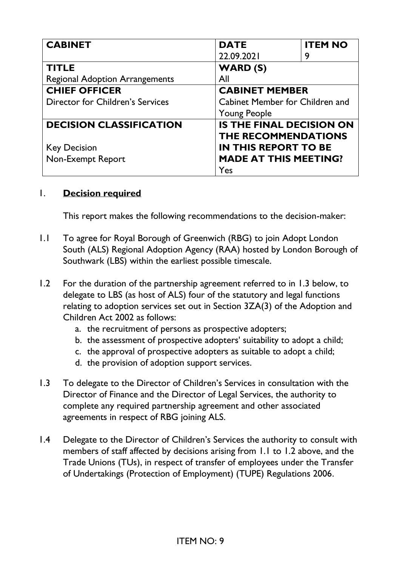| <b>CABINET</b>                        | <b>DATE</b>                     | <b>ITEM NO</b> |
|---------------------------------------|---------------------------------|----------------|
|                                       | 22.09.2021                      | 9              |
| <b>TITLE</b>                          | WARD (S)                        |                |
| <b>Regional Adoption Arrangements</b> | All                             |                |
| <b>CHIEF OFFICER</b>                  | <b>CABINET MEMBER</b>           |                |
| Director for Children's Services      | Cabinet Member for Children and |                |
|                                       | <b>Young People</b>             |                |
| <b>DECISION CLASSIFICATION</b>        | <b>IS THE FINAL DECISION ON</b> |                |
|                                       | <b>THE RECOMMENDATIONS</b>      |                |
| <b>Key Decision</b>                   | <b>IN THIS REPORT TO BE</b>     |                |
| Non-Exempt Report                     | <b>MADE AT THIS MEETING?</b>    |                |
|                                       | Yes                             |                |

#### 1. **Decision required**

This report makes the following recommendations to the decision-maker:

- 1.1 To agree for Royal Borough of Greenwich (RBG) to join Adopt London South (ALS) Regional Adoption Agency (RAA) hosted by London Borough of Southwark (LBS) within the earliest possible timescale.
- 1.2 For the duration of the partnership agreement referred to in 1.3 below, to delegate to LBS (as host of ALS) four of the statutory and legal functions relating to adoption services set out in Section 3ZA(3) of the Adoption and Children Act 2002 as follows:
	- a. the recruitment of persons as prospective adopters;
	- b. the assessment of prospective adopters' suitability to adopt a child;
	- c. the approval of prospective adopters as suitable to adopt a child;
	- d. the provision of adoption support services.
- 1.3 To delegate to the Director of Children's Services in consultation with the Director of Finance and the Director of Legal Services, the authority to complete any required partnership agreement and other associated agreements in respect of RBG joining ALS.
- 1.4 Delegate to the Director of Children's Services the authority to consult with members of staff affected by decisions arising from 1.1 to 1.2 above, and the Trade Unions (TUs), in respect of transfer of employees under the Transfer of Undertakings (Protection of Employment) (TUPE) Regulations 2006.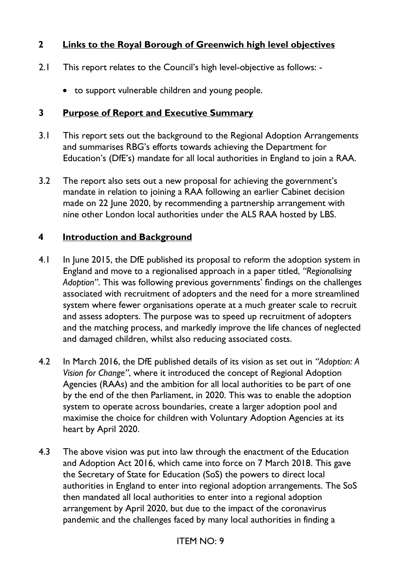## **2 Links to the Royal Borough of Greenwich high level objectives**

- 2.1 This report relates to the Council's high level-objective as follows:
	- to support vulnerable children and young people.

#### **3 Purpose of Report and Executive Summary**

- 3.1 This report sets out the background to the Regional Adoption Arrangements and summarises RBG's efforts towards achieving the Department for Education's (DfE's) mandate for all local authorities in England to join a RAA.
- 3.2 The report also sets out a new proposal for achieving the government's mandate in relation to joining a RAA following an earlier Cabinet decision made on 22 June 2020, by recommending a partnership arrangement with nine other London local authorities under the ALS RAA hosted by LBS.

#### **4 Introduction and Background**

- 4.1 In June 2015, the DfE published its proposal to reform the adoption system in England and move to a regionalised approach in a paper titled, *"Regionalising Adoption"*. This was following previous governments' findings on the challenges associated with recruitment of adopters and the need for a more streamlined system where fewer organisations operate at a much greater scale to recruit and assess adopters. The purpose was to speed up recruitment of adopters and the matching process, and markedly improve the life chances of neglected and damaged children, whilst also reducing associated costs.
- 4.2 In March 2016, the DfE published details of its vision as set out in *"Adoption: A Vision for Change"*, where it introduced the concept of Regional Adoption Agencies (RAAs) and the ambition for all local authorities to be part of one by the end of the then Parliament, in 2020. This was to enable the adoption system to operate across boundaries, create a larger adoption pool and maximise the choice for children with Voluntary Adoption Agencies at its heart by April 2020.
- 4.3 The above vision was put into law through the enactment of the Education and Adoption Act 2016, which came into force on 7 March 2018. This gave the Secretary of State for Education (SoS) the powers to direct local authorities in England to enter into regional adoption arrangements. The SoS then mandated all local authorities to enter into a regional adoption arrangement by April 2020, but due to the impact of the coronavirus pandemic and the challenges faced by many local authorities in finding a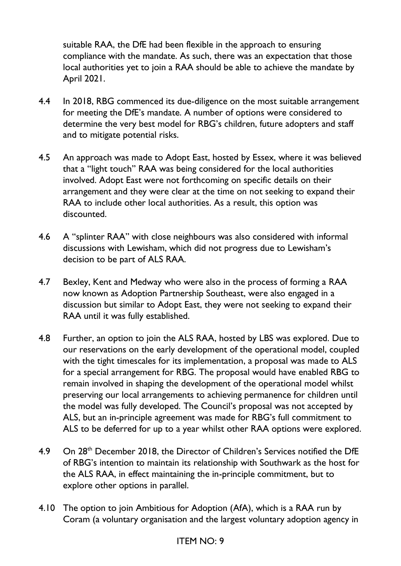suitable RAA, the DfE had been flexible in the approach to ensuring compliance with the mandate. As such, there was an expectation that those local authorities yet to join a RAA should be able to achieve the mandate by April 2021.

- 4.4 In 2018, RBG commenced its due-diligence on the most suitable arrangement for meeting the DfE's mandate. A number of options were considered to determine the very best model for RBG's children, future adopters and staff and to mitigate potential risks.
- 4.5 An approach was made to Adopt East, hosted by Essex, where it was believed that a "light touch" RAA was being considered for the local authorities involved. Adopt East were not forthcoming on specific details on their arrangement and they were clear at the time on not seeking to expand their RAA to include other local authorities. As a result, this option was discounted.
- 4.6 A "splinter RAA" with close neighbours was also considered with informal discussions with Lewisham, which did not progress due to Lewisham's decision to be part of ALS RAA.
- 4.7 Bexley, Kent and Medway who were also in the process of forming a RAA now known as Adoption Partnership Southeast, were also engaged in a discussion but similar to Adopt East, they were not seeking to expand their RAA until it was fully established.
- 4.8 Further, an option to join the ALS RAA, hosted by LBS was explored. Due to our reservations on the early development of the operational model, coupled with the tight timescales for its implementation, a proposal was made to ALS for a special arrangement for RBG. The proposal would have enabled RBG to remain involved in shaping the development of the operational model whilst preserving our local arrangements to achieving permanence for children until the model was fully developed. The Council's proposal was not accepted by ALS, but an in-principle agreement was made for RBG's full commitment to ALS to be deferred for up to a year whilst other RAA options were explored.
- 4.9 On 28<sup>th</sup> December 2018, the Director of Children's Services notified the DfE of RBG's intention to maintain its relationship with Southwark as the host for the ALS RAA, in effect maintaining the in-principle commitment, but to explore other options in parallel.
- 4.10 The option to join Ambitious for Adoption (AfA), which is a RAA run by Coram (a voluntary organisation and the largest voluntary adoption agency in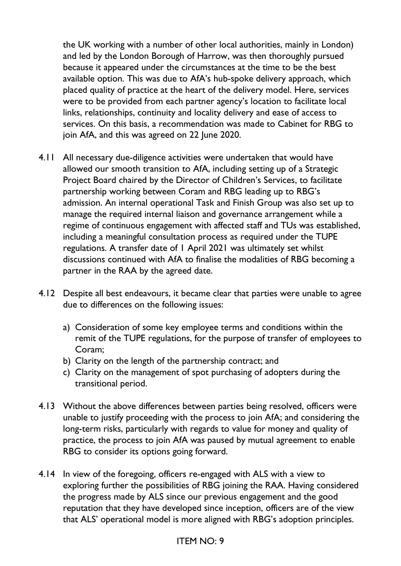the UK working with a number of other local authorities, mainly in London) and led by the London Borough of Harrow, was then thoroughly pursued because it appeared under the circumstances at the time to be the best available option. This was due to AfA's hub-spoke delivery approach, which placed quality of practice at the heart of the delivery model. Here, services were to be provided from each partner agency's location to facilitate local links, relationships, continuity and locality delivery and ease of access to services. On this basis, a recommendation was made to Cabinet for RBG to join AfA, and this was agreed on 22 June 2020.

- 4.11 All necessary due-diligence activities were undertaken that would have allowed our smooth transition to AfA, including setting up of a Strategic Project Board chaired by the Director of Children's Services, to facilitate partnership working between Coram and RBG leading up to RBG's admission. An internal operational Task and Finish Group was also set up to manage the required internal liaison and governance arrangement while a regime of continuous engagement with affected staff and TUs was established, including a meaningful consultation process as required under the TUPE regulations. A transfer date of 1 April 2021 was ultimately set whilst discussions continued with AfA to finalise the modalities of RBG becoming a partner in the RAA by the agreed date.
- 4.12 Despite all best endeavours, it became clear that parties were unable to agree due to differences on the following issues:
	- a) Consideration of some key employee terms and conditions within the remit of the TUPE regulations, for the purpose of transfer of employees to Coram;
	- b) Clarity on the length of the partnership contract; and
	- c) Clarity on the management of spot purchasing of adopters during the transitional period.
- 4.13 Without the above differences between parties being resolved, officers were unable to justify proceeding with the process to join AfA; and considering the long-term risks, particularly with regards to value for money and quality of practice, the process to join AfA was paused by mutual agreement to enable RBG to consider its options going forward.
- 4.14 In view of the foregoing, officers re-engaged with ALS with a view to exploring further the possibilities of RBG joining the RAA. Having considered the progress made by ALS since our previous engagement and the good reputation that they have developed since inception, officers are of the view that ALS' operational model is more aligned with RBG's adoption principles.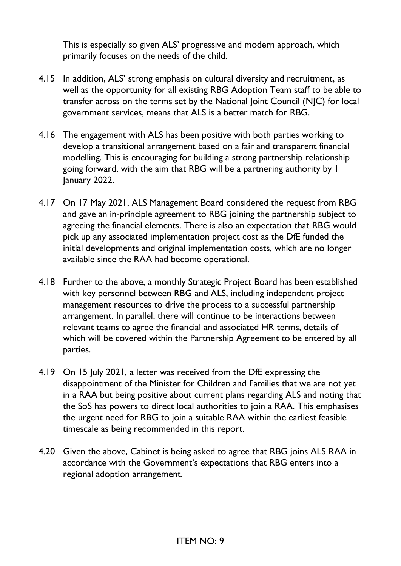This is especially so given ALS' progressive and modern approach, which primarily focuses on the needs of the child.

- 4.15 In addition, ALS' strong emphasis on cultural diversity and recruitment, as well as the opportunity for all existing RBG Adoption Team staff to be able to transfer across on the terms set by the National Joint Council (NJC) for local government services, means that ALS is a better match for RBG.
- 4.16 The engagement with ALS has been positive with both parties working to develop a transitional arrangement based on a fair and transparent financial modelling. This is encouraging for building a strong partnership relationship going forward, with the aim that RBG will be a partnering authority by 1 January 2022.
- 4.17 On 17 May 2021, ALS Management Board considered the request from RBG and gave an in-principle agreement to RBG joining the partnership subject to agreeing the financial elements. There is also an expectation that RBG would pick up any associated implementation project cost as the DfE funded the initial developments and original implementation costs, which are no longer available since the RAA had become operational.
- 4.18 Further to the above, a monthly Strategic Project Board has been established with key personnel between RBG and ALS, including independent project management resources to drive the process to a successful partnership arrangement. In parallel, there will continue to be interactions between relevant teams to agree the financial and associated HR terms, details of which will be covered within the Partnership Agreement to be entered by all parties.
- 4.19 On 15 July 2021, a letter was received from the DfE expressing the disappointment of the Minister for Children and Families that we are not yet in a RAA but being positive about current plans regarding ALS and noting that the SoS has powers to direct local authorities to join a RAA. This emphasises the urgent need for RBG to join a suitable RAA within the earliest feasible timescale as being recommended in this report.
- 4.20 Given the above, Cabinet is being asked to agree that RBG joins ALS RAA in accordance with the Government's expectations that RBG enters into a regional adoption arrangement.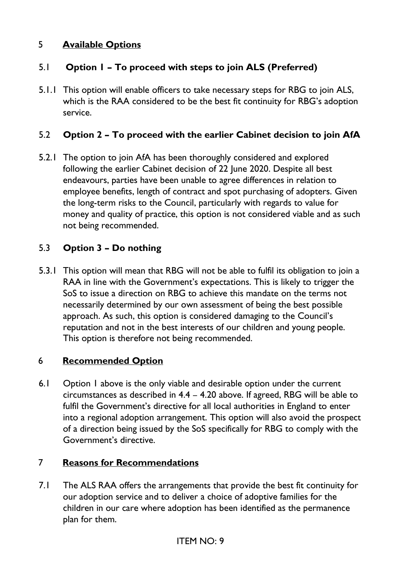# 5 **Available Options**

# 5.1 **Option 1 – To proceed with steps to join ALS (Preferred)**

5.1.1 This option will enable officers to take necessary steps for RBG to join ALS, which is the RAA considered to be the best fit continuity for RBG's adoption service.

### 5.2 **Option 2 – To proceed with the earlier Cabinet decision to join AfA**

5.2.1 The option to join AfA has been thoroughly considered and explored following the earlier Cabinet decision of 22 June 2020. Despite all best endeavours, parties have been unable to agree differences in relation to employee benefits, length of contract and spot purchasing of adopters. Given the long-term risks to the Council, particularly with regards to value for money and quality of practice, this option is not considered viable and as such not being recommended.

## 5.3 **Option 3 – Do nothing**

5.3.1 This option will mean that RBG will not be able to fulfil its obligation to join a RAA in line with the Government's expectations. This is likely to trigger the SoS to issue a direction on RBG to achieve this mandate on the terms not necessarily determined by our own assessment of being the best possible approach. As such, this option is considered damaging to the Council's reputation and not in the best interests of our children and young people. This option is therefore not being recommended.

#### 6 **Recommended Option**

6.1 Option 1 above is the only viable and desirable option under the current circumstances as described in 4.4 – 4.20 above. If agreed, RBG will be able to fulfil the Government's directive for all local authorities in England to enter into a regional adoption arrangement. This option will also avoid the prospect of a direction being issued by the SoS specifically for RBG to comply with the Government's directive.

#### 7 **Reasons for Recommendations**

7.1 The ALS RAA offers the arrangements that provide the best fit continuity for our adoption service and to deliver a choice of adoptive families for the children in our care where adoption has been identified as the permanence plan for them.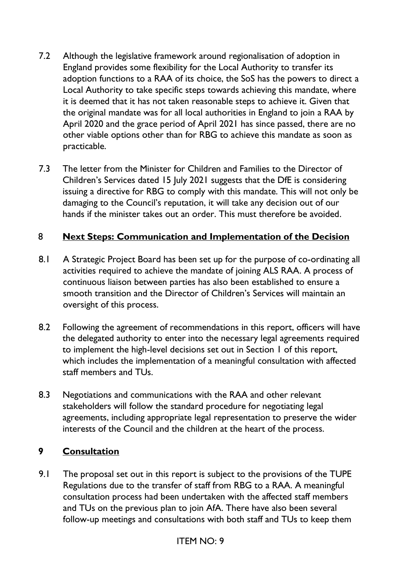- 7.2 Although the legislative framework around regionalisation of adoption in England provides some flexibility for the Local Authority to transfer its adoption functions to a RAA of its choice, the SoS has the powers to direct a Local Authority to take specific steps towards achieving this mandate, where it is deemed that it has not taken reasonable steps to achieve it. Given that the original mandate was for all local authorities in England to join a RAA by April 2020 and the grace period of April 2021 has since passed, there are no other viable options other than for RBG to achieve this mandate as soon as practicable.
- 7.3 The letter from the Minister for Children and Families to the Director of Children's Services dated 15 July 2021 suggests that the DfE is considering issuing a directive for RBG to comply with this mandate. This will not only be damaging to the Council's reputation, it will take any decision out of our hands if the minister takes out an order. This must therefore be avoided.

#### 8 **Next Steps: Communication and Implementation of the Decision**

- 8.1 A Strategic Project Board has been set up for the purpose of co-ordinating all activities required to achieve the mandate of joining ALS RAA. A process of continuous liaison between parties has also been established to ensure a smooth transition and the Director of Children's Services will maintain an oversight of this process.
- 8.2 Following the agreement of recommendations in this report, officers will have the delegated authority to enter into the necessary legal agreements required to implement the high-level decisions set out in Section 1 of this report, which includes the implementation of a meaningful consultation with affected staff members and TUs.
- 8.3 Negotiations and communications with the RAA and other relevant stakeholders will follow the standard procedure for negotiating legal agreements, including appropriate legal representation to preserve the wider interests of the Council and the children at the heart of the process.

#### **9 Consultation**

9.1 The proposal set out in this report is subject to the provisions of the TUPE Regulations due to the transfer of staff from RBG to a RAA. A meaningful consultation process had been undertaken with the affected staff members and TUs on the previous plan to join AfA. There have also been several follow-up meetings and consultations with both staff and TUs to keep them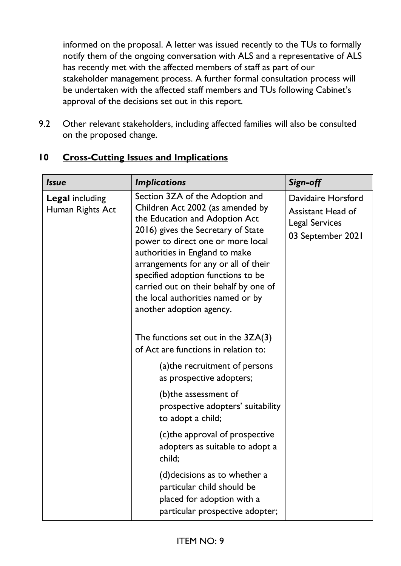informed on the proposal. A letter was issued recently to the TUs to formally notify them of the ongoing conversation with ALS and a representative of ALS has recently met with the affected members of staff as part of our stakeholder management process. A further formal consultation process will be undertaken with the affected staff members and TUs following Cabinet's approval of the decisions set out in this report.

9.2 Other relevant stakeholders, including affected families will also be consulted on the proposed change.

| <b>Issue</b>                               | <b>Implications</b>                                                                                                                                                                                                                                                                                                                                                                                        | Sign-off                                                                                     |
|--------------------------------------------|------------------------------------------------------------------------------------------------------------------------------------------------------------------------------------------------------------------------------------------------------------------------------------------------------------------------------------------------------------------------------------------------------------|----------------------------------------------------------------------------------------------|
| <b>Legal including</b><br>Human Rights Act | Section 3ZA of the Adoption and<br>Children Act 2002 (as amended by<br>the Education and Adoption Act<br>2016) gives the Secretary of State<br>power to direct one or more local<br>authorities in England to make<br>arrangements for any or all of their<br>specified adoption functions to be<br>carried out on their behalf by one of<br>the local authorities named or by<br>another adoption agency. | Davidaire Horsford<br><b>Assistant Head of</b><br><b>Legal Services</b><br>03 September 2021 |
|                                            | The functions set out in the $3ZA(3)$<br>of Act are functions in relation to:                                                                                                                                                                                                                                                                                                                              |                                                                                              |
|                                            | (a) the recruitment of persons<br>as prospective adopters;                                                                                                                                                                                                                                                                                                                                                 |                                                                                              |
|                                            | (b) the assessment of<br>prospective adopters' suitability<br>to adopt a child;                                                                                                                                                                                                                                                                                                                            |                                                                                              |
|                                            | (c) the approval of prospective<br>adopters as suitable to adopt a<br>child;                                                                                                                                                                                                                                                                                                                               |                                                                                              |
|                                            | (d) decisions as to whether a<br>particular child should be<br>placed for adoption with a<br>particular prospective adopter;                                                                                                                                                                                                                                                                               |                                                                                              |

# **10 Cross-Cutting Issues and Implications**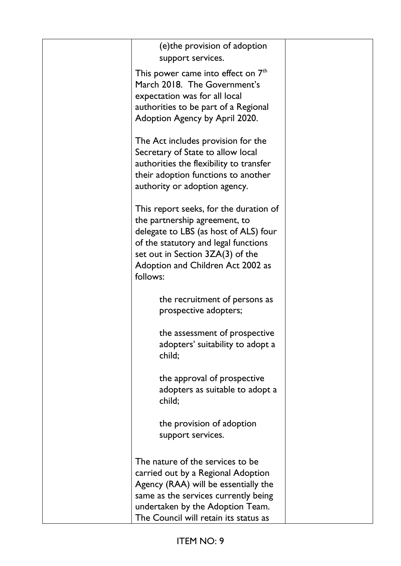| (e) the provision of adoption                                              |  |
|----------------------------------------------------------------------------|--|
| support services.                                                          |  |
| This power came into effect on 7 <sup>th</sup>                             |  |
| March 2018. The Government's                                               |  |
| expectation was for all local                                              |  |
| authorities to be part of a Regional                                       |  |
| Adoption Agency by April 2020.                                             |  |
| The Act includes provision for the                                         |  |
| Secretary of State to allow local                                          |  |
| authorities the flexibility to transfer                                    |  |
| their adoption functions to another                                        |  |
| authority or adoption agency.                                              |  |
| This report seeks, for the duration of                                     |  |
| the partnership agreement, to                                              |  |
| delegate to LBS (as host of ALS) four                                      |  |
| of the statutory and legal functions                                       |  |
| set out in Section 3ZA(3) of the                                           |  |
| Adoption and Children Act 2002 as                                          |  |
| follows:                                                                   |  |
| the recruitment of persons as                                              |  |
| prospective adopters;                                                      |  |
| the assessment of prospective                                              |  |
| adopters' suitability to adopt a                                           |  |
| child;                                                                     |  |
|                                                                            |  |
| the approval of prospective                                                |  |
| adopters as suitable to adopt a                                            |  |
| child;                                                                     |  |
| the provision of adoption                                                  |  |
| support services.                                                          |  |
|                                                                            |  |
| The nature of the services to be                                           |  |
| carried out by a Regional Adoption<br>Agency (RAA) will be essentially the |  |
| same as the services currently being                                       |  |
| undertaken by the Adoption Team.                                           |  |
| The Council will retain its status as                                      |  |
|                                                                            |  |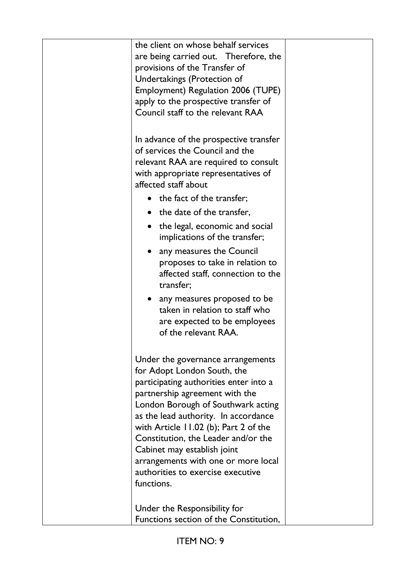| the client on whose behalf services<br>are being carried out. Therefore, the<br>provisions of the Transfer of<br>Undertakings (Protection of<br>Employment) Regulation 2006 (TUPE)<br>apply to the prospective transfer of<br>Council staff to the relevant RAA                                                                                                                                                                       |  |
|---------------------------------------------------------------------------------------------------------------------------------------------------------------------------------------------------------------------------------------------------------------------------------------------------------------------------------------------------------------------------------------------------------------------------------------|--|
| In advance of the prospective transfer<br>of services the Council and the<br>relevant RAA are required to consult<br>with appropriate representatives of<br>affected staff about                                                                                                                                                                                                                                                      |  |
| the fact of the transfer;                                                                                                                                                                                                                                                                                                                                                                                                             |  |
| the date of the transfer,                                                                                                                                                                                                                                                                                                                                                                                                             |  |
| the legal, economic and social<br>implications of the transfer;                                                                                                                                                                                                                                                                                                                                                                       |  |
| any measures the Council<br>proposes to take in relation to<br>affected staff, connection to the<br>transfer;                                                                                                                                                                                                                                                                                                                         |  |
| any measures proposed to be<br>taken in relation to staff who<br>are expected to be employees<br>of the relevant RAA.                                                                                                                                                                                                                                                                                                                 |  |
| Under the governance arrangements<br>for Adopt London South, the<br>participating authorities enter into a<br>partnership agreement with the<br>London Borough of Southwark acting<br>as the lead authority. In accordance<br>with Article $11.02$ (b); Part 2 of the<br>Constitution, the Leader and/or the<br>Cabinet may establish joint<br>arrangements with one or more local<br>authorities to exercise executive<br>functions. |  |
| Under the Responsibility for<br>Functions section of the Constitution,                                                                                                                                                                                                                                                                                                                                                                |  |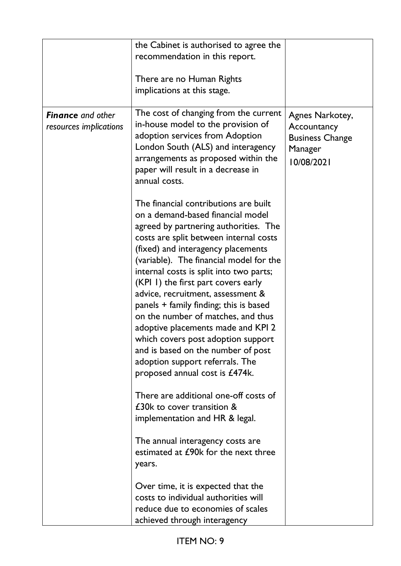| <b>Finance</b> and other<br>resources implications | the Cabinet is authorised to agree the<br>recommendation in this report.<br>There are no Human Rights<br>implications at this stage.<br>The cost of changing from the current<br>in-house model to the provision of                                                                                                                                                                                                                                                                                                                                                                                                                                                                                                                                                                                                                                                                                                                                                                            | Agnes Narkotey,<br>Accountancy                  |
|----------------------------------------------------|------------------------------------------------------------------------------------------------------------------------------------------------------------------------------------------------------------------------------------------------------------------------------------------------------------------------------------------------------------------------------------------------------------------------------------------------------------------------------------------------------------------------------------------------------------------------------------------------------------------------------------------------------------------------------------------------------------------------------------------------------------------------------------------------------------------------------------------------------------------------------------------------------------------------------------------------------------------------------------------------|-------------------------------------------------|
|                                                    | adoption services from Adoption<br>London South (ALS) and interagency<br>arrangements as proposed within the<br>paper will result in a decrease in<br>annual costs.                                                                                                                                                                                                                                                                                                                                                                                                                                                                                                                                                                                                                                                                                                                                                                                                                            | <b>Business Change</b><br>Manager<br>10/08/2021 |
|                                                    | The financial contributions are built<br>on a demand-based financial model<br>agreed by partnering authorities. The<br>costs are split between internal costs<br>(fixed) and interagency placements<br>(variable). The financial model for the<br>internal costs is split into two parts;<br>(KPI I) the first part covers early<br>advice, recruitment, assessment &<br>panels + family finding; this is based<br>on the number of matches, and thus<br>adoptive placements made and KPI 2<br>which covers post adoption support<br>and is based on the number of post<br>adoption support referrals. The<br>proposed annual cost is £474k.<br>There are additional one-off costs of<br>£30k to cover transition &<br>implementation and HR & legal.<br>The annual interagency costs are<br>estimated at £90k for the next three<br>years.<br>Over time, it is expected that the<br>costs to individual authorities will<br>reduce due to economies of scales<br>achieved through interagency |                                                 |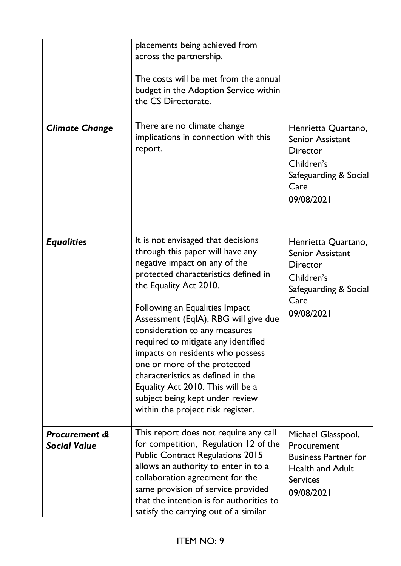| <b>Climate Change</b>                           | placements being achieved from<br>across the partnership.<br>The costs will be met from the annual<br>budget in the Adoption Service within<br>the CS Directorate.<br>There are no climate change<br>implications in connection with this<br>report.                                                                                                                                                                                                                                                                                              | Henrietta Quartano,<br><b>Senior Assistant</b><br>Director<br>Children's<br>Safeguarding & Social<br>Care<br>09/08/2021        |
|-------------------------------------------------|---------------------------------------------------------------------------------------------------------------------------------------------------------------------------------------------------------------------------------------------------------------------------------------------------------------------------------------------------------------------------------------------------------------------------------------------------------------------------------------------------------------------------------------------------|--------------------------------------------------------------------------------------------------------------------------------|
| <b>Equalities</b>                               | It is not envisaged that decisions<br>through this paper will have any<br>negative impact on any of the<br>protected characteristics defined in<br>the Equality Act 2010.<br>Following an Equalities Impact<br>Assessment (EqIA), RBG will give due<br>consideration to any measures<br>required to mitigate any identified<br>impacts on residents who possess<br>one or more of the protected<br>characteristics as defined in the<br>Equality Act 2010. This will be a<br>subject being kept under review<br>within the project risk register. | Henrietta Quartano,<br><b>Senior Assistant</b><br><b>Director</b><br>Children's<br>Safeguarding & Social<br>Care<br>09/08/2021 |
| <b>Procurement &amp;</b><br><b>Social Value</b> | This report does not require any call<br>for competition, Regulation 12 of the<br><b>Public Contract Regulations 2015</b><br>allows an authority to enter in to a<br>collaboration agreement for the<br>same provision of service provided<br>that the intention is for authorities to<br>satisfy the carrying out of a similar                                                                                                                                                                                                                   | Michael Glasspool,<br>Procurement<br><b>Business Partner for</b><br><b>Health and Adult</b><br><b>Services</b><br>09/08/2021   |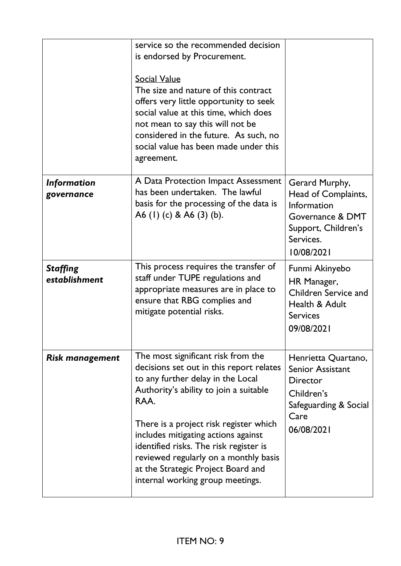|                                  | service so the recommended decision<br>is endorsed by Procurement.<br><b>Social Value</b><br>The size and nature of this contract<br>offers very little opportunity to seek<br>social value at this time, which does<br>not mean to say this will not be<br>considered in the future. As such, no<br>social value has been made under this<br>agreement.                                                            |                                                                                                                                |
|----------------------------------|---------------------------------------------------------------------------------------------------------------------------------------------------------------------------------------------------------------------------------------------------------------------------------------------------------------------------------------------------------------------------------------------------------------------|--------------------------------------------------------------------------------------------------------------------------------|
| <b>Information</b><br>governance | A Data Protection Impact Assessment<br>has been undertaken. The lawful<br>basis for the processing of the data is<br>A6 (1) (c) & A6 (3) (b).                                                                                                                                                                                                                                                                       | Gerard Murphy,<br>Head of Complaints,<br>Information<br>Governance & DMT<br>Support, Children's<br>Services.<br>10/08/2021     |
| <b>Staffing</b><br>establishment | This process requires the transfer of<br>staff under TUPE regulations and<br>appropriate measures are in place to<br>ensure that RBG complies and<br>mitigate potential risks.                                                                                                                                                                                                                                      | Funmi Akinyebo<br>HR Manager,<br>Children Service and<br>Health & Adult<br><b>Services</b><br>09/08/2021                       |
| <b>Risk management</b>           | The most significant risk from the<br>decisions set out in this report relates<br>to any further delay in the Local<br>Authority's ability to join a suitable<br>RAA.<br>There is a project risk register which<br>includes mitigating actions against<br>identified risks. The risk register is<br>reviewed regularly on a monthly basis<br>at the Strategic Project Board and<br>internal working group meetings. | Henrietta Quartano,<br><b>Senior Assistant</b><br><b>Director</b><br>Children's<br>Safeguarding & Social<br>Care<br>06/08/2021 |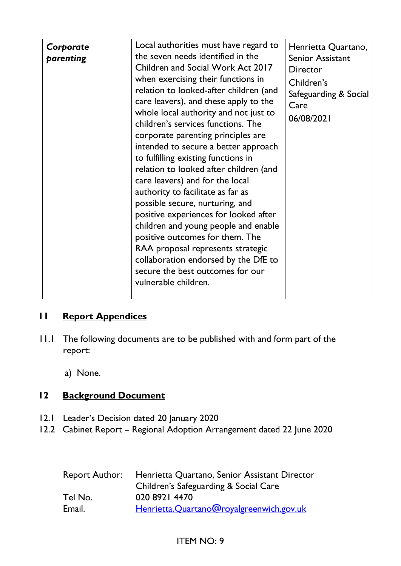| intended to secure a better approach<br>to fulfilling existing functions in<br>relation to looked after children (and<br>care leavers) and for the local<br>authority to facilitate as far as<br>possible secure, nurturing, and<br>positive experiences for looked after<br>children and young people and enable<br>positive outcomes for them. The<br>RAA proposal represents strategic<br>collaboration endorsed by the DfE to<br>secure the best outcomes for our<br>vulnerable children. | Corporate<br>parenting | Local authorities must have regard to<br>the seven needs identified in the<br>Children and Social Work Act 2017<br>when exercising their functions in<br>relation to looked-after children (and<br>care leavers), and these apply to the<br>whole local authority and not just to<br>children's services functions. The<br>corporate parenting principles are | Henrietta Quartano,<br>Senior Assistant<br>Director<br>Children's<br>Safeguarding & Social<br>Care<br>06/08/2021 |
|-----------------------------------------------------------------------------------------------------------------------------------------------------------------------------------------------------------------------------------------------------------------------------------------------------------------------------------------------------------------------------------------------------------------------------------------------------------------------------------------------|------------------------|---------------------------------------------------------------------------------------------------------------------------------------------------------------------------------------------------------------------------------------------------------------------------------------------------------------------------------------------------------------|------------------------------------------------------------------------------------------------------------------|
|-----------------------------------------------------------------------------------------------------------------------------------------------------------------------------------------------------------------------------------------------------------------------------------------------------------------------------------------------------------------------------------------------------------------------------------------------------------------------------------------------|------------------------|---------------------------------------------------------------------------------------------------------------------------------------------------------------------------------------------------------------------------------------------------------------------------------------------------------------------------------------------------------------|------------------------------------------------------------------------------------------------------------------|

# **11 Report Appendices**

- 11.1 The following documents are to be published with and form part of the report:
	- a) None.

## **12 Background Document**

- 12.1 Leader's Decision dated 20 January 2020
- 12.2 Cabinet Report Regional Adoption Arrangement dated 22 June 2020

|         | Report Author: Henrietta Quartano, Senior Assistant Director |
|---------|--------------------------------------------------------------|
|         | Children's Safeguarding & Social Care                        |
| Tel No. | 020 8921 4470                                                |
| Email.  | Henrietta.Quartano@royalgreenwich.gov.uk                     |

# ITEM NO: 9